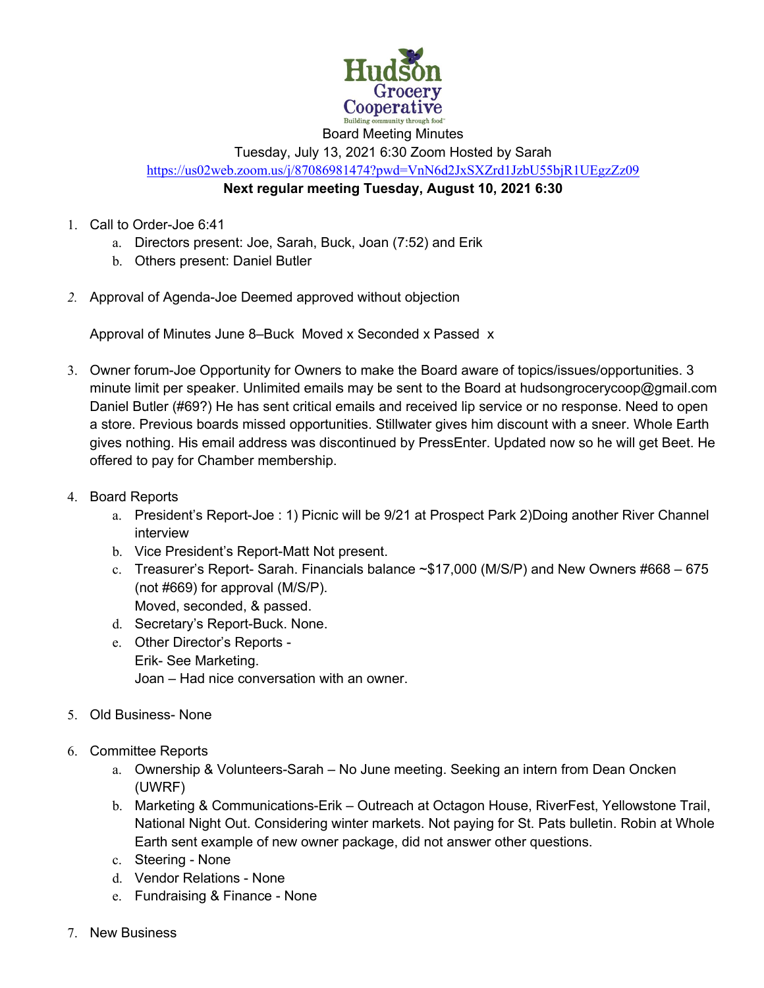

Board Meeting Minutes

Tuesday, July 13, 2021 6:30 Zoom Hosted by Sarah

https://us02web.zoom.us/j/87086981474?pwd=VnN6d2JxSXZrd1JzbU55bjR1UEgzZz09

## **Next regular meeting Tuesday, August 10, 2021 6:30**

- 1. Call to Order-Joe 6:41
	- a. Directors present: Joe, Sarah, Buck, Joan (7:52) and Erik
	- b. Others present: Daniel Butler
- *2.* Approval of Agenda-Joe Deemed approved without objection

Approval of Minutes June 8–Buck Moved x Seconded x Passed x

- 3. Owner forum-Joe Opportunity for Owners to make the Board aware of topics/issues/opportunities. 3 minute limit per speaker. Unlimited emails may be sent to the Board at hudsongrocerycoop@gmail.com Daniel Butler (#69?) He has sent critical emails and received lip service or no response. Need to open a store. Previous boards missed opportunities. Stillwater gives him discount with a sneer. Whole Earth gives nothing. His email address was discontinued by PressEnter. Updated now so he will get Beet. He offered to pay for Chamber membership.
- 4. Board Reports
	- a. President's Report-Joe : 1) Picnic will be 9/21 at Prospect Park 2)Doing another River Channel interview
	- b. Vice President's Report-Matt Not present.
	- c. Treasurer's Report- Sarah. Financials balance  $\sim$ \$17,000 (M/S/P) and New Owners #668 675 (not #669) for approval (M/S/P). Moved, seconded, & passed.
	- d. Secretary's Report-Buck. None.
	- e. Other Director's Reports Erik- See Marketing. Joan – Had nice conversation with an owner.
- 5. Old Business- None
- 6. Committee Reports
	- a. Ownership & Volunteers-Sarah No June meeting. Seeking an intern from Dean Oncken (UWRF)
	- b. Marketing & Communications-Erik Outreach at Octagon House, RiverFest, Yellowstone Trail, National Night Out. Considering winter markets. Not paying for St. Pats bulletin. Robin at Whole Earth sent example of new owner package, did not answer other questions.
	- c. Steering None
	- d. Vendor Relations None
	- e. Fundraising & Finance None
- 7. New Business